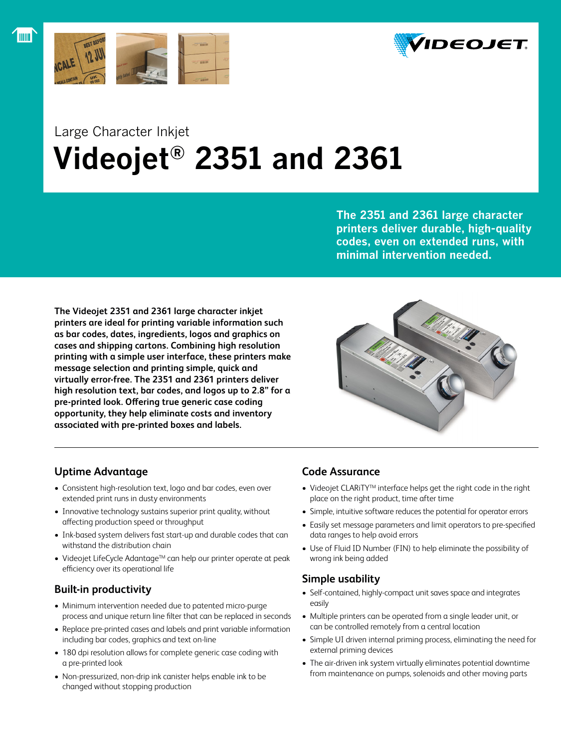

l mm l



# Large Character Inkjet  **Videojet® 2351 and 2361**

**The 2351 and 2361 large character printers deliver durable, high-quality codes, even on extended runs, with minimal intervention needed.**

**The Videojet 2351 and 2361 large character inkjet printers are ideal for printing variable information such as bar codes, dates, ingredients, logos and graphics on cases and shipping cartons. Combining high resolution printing with a simple user interface, these printers make message selection and printing simple, quick and virtually error-free. The 2351 and 2361 printers deliver high resolution text, bar codes, and logos up to 2.8" for a pre-printed look. Offering true generic case coding opportunity, they help eliminate costs and inventory associated with pre-printed boxes and labels.**



# **Uptime Advantage**

- Consistent high-resolution text, logo and bar codes, even over extended print runs in dusty environments
- Innovative technology sustains superior print quality, without affecting production speed or throughput
- Ink-based system delivers fast start-up and durable codes that can withstand the distribution chain
- Videojet LifeCycle Adantage™ can help our printer operate at peak efficiency over its operational life

## **Built-in productivity**

- • Minimum intervention needed due to patented micro-purge process and unique return line filter that can be replaced in seconds
- Replace pre-printed cases and labels and print variable information including bar codes, graphics and text on-line
- 180 dpi resolution allows for complete generic case coding with a pre-printed look
- • Non-pressurized, non-drip ink canister helps enable ink to be changed without stopping production

## **Code Assurance**

- Videojet CLARiTY<sup>™</sup> interface helps get the right code in the right place on the right product, time after time
- Simple, intuitive software reduces the potential for operator errors
- Easily set message parameters and limit operators to pre-specified data ranges to help avoid errors
- Use of Fluid ID Number (FIN) to help eliminate the possibility of wrong ink being added

# **Simple usability**

- Self-contained, highly-compact unit saves space and integrates easily
- Multiple printers can be operated from a single leader unit, or can be controlled remotely from a central location
- Simple UI driven internal priming process, eliminating the need for external priming devices
- The air-driven ink system virtually eliminates potential downtime from maintenance on pumps, solenoids and other moving parts